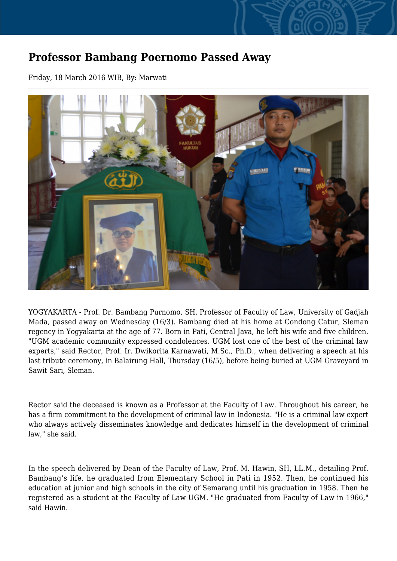## **Professor Bambang Poernomo Passed Away**

Friday, 18 March 2016 WIB, By: Marwati



YOGYAKARTA - Prof. Dr. Bambang Purnomo, SH, Professor of Faculty of Law, University of Gadjah Mada, passed away on Wednesday (16/3). Bambang died at his home at Condong Catur, Sleman regency in Yogyakarta at the age of 77. Born in Pati, Central Java, he left his wife and five children. "UGM academic community expressed condolences. UGM lost one of the best of the criminal law experts," said Rector, Prof. Ir. Dwikorita Karnawati, M.Sc., Ph.D., when delivering a speech at his last tribute ceremony, in Balairung Hall, Thursday (16/5), before being buried at UGM Graveyard in Sawit Sari, Sleman.

Rector said the deceased is known as a Professor at the Faculty of Law. Throughout his career, he has a firm commitment to the development of criminal law in Indonesia. "He is a criminal law expert who always actively disseminates knowledge and dedicates himself in the development of criminal law," she said.

In the speech delivered by Dean of the Faculty of Law, Prof. M. Hawin, SH, LL.M., detailing Prof. Bambang's life, he graduated from Elementary School in Pati in 1952. Then, he continued his education at junior and high schools in the city of Semarang until his graduation in 1958. Then he registered as a student at the Faculty of Law UGM. "He graduated from Faculty of Law in 1966," said Hawin.